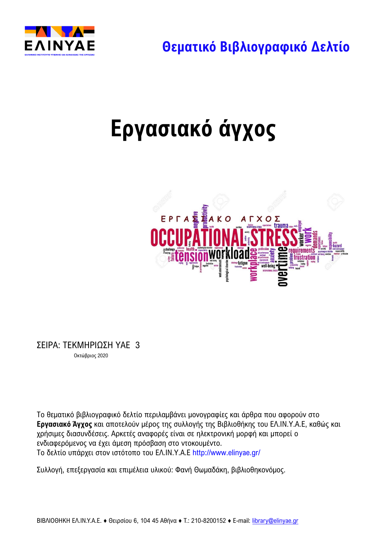

**Θεματικό Βιβλιογραφικό Δελτίο**

# **Εργασιακό άγχος**



ΣΕΙΡΑ: ΤΕΚΜΗΡΙΩΣΗ ΥΑΕ 3 Οκτώβριος 2020

Το θεματικό βιβλιογραφικό δελτίο περιλαμβάνει μονογραφίες και άρθρα που αφορούν στο **Εργασιακό Άγχος** και αποτελούν μέρος της συλλογής της Βιβλιοθήκης του ΕΛ.ΙΝ.Υ.Α.Ε, καθώς και χρήσιμες διασυνδέσεις. Αρκετές αναφορές είναι σε ηλεκτρονική μορφή και μπορεί ο ενδιαφερόμενος να έχει άμεση πρόσβαση στο ντοκουμέντο. Το δελτίο υπάρχει στoν ιστότοπο του ΕΛ.ΙΝ.Υ.Α.Ε <http://www.elinyae.gr/>

Συλλογή, επεξεργασία και επιμέλεια υλικού: Φανή Θωμαδάκη, βιβλιοθηκονόμος.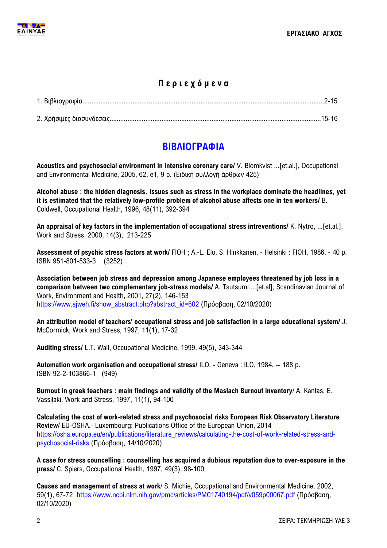

# **Π ε ρ ι ε χ ό μ ε ν α**

# **ΒΙΒΛΙΟΓΡΑΦΙΑ**

**Acoustics and psychosocial environment in intensive coronary care/** V. Blomkvist ...[et.al.], Occupational and Εnvironmental Μedicine, 2005, 62, e1, 9 p. (Ειδική συλλογή άρθρων 425)

**Alcohol abuse : the hidden diagnosis. Issues such as stress in the workplace dominate the headlines, yet it is estimated that the relatively low-profile problem of alcohol abuse affects one in ten workers/** B. Coldwell, Occupational Ηealth, 1996, 48(11), 392-394

**An appraisal of key factors in the implementation of occupational stress intreventions/** K. Nytro, ...[et.al.], Work and Stress, 2000, 14(3), 213-225

**Assessment of psychic stress factors at work/** FIOH ; A.-L. Elo, S. Hinkkanen. - Helsinki : FIOH, 1986. - 40 p. ISBN 951-801-533-3 (3252)

**Association between job stress and depression among Japanese employees threatened by job loss in a comparison between two complementary job-stress models/** A. Tsutsumi ...[et.al], Scandinavian Journal of Work, Environment and Health, 2001, 27(2), 146-153 [https://www.sjweh.fi/show\\_abstract.php?abstract\\_id=602](https://www.sjweh.fi/show_abstract.php?abstract_id=602) (Πρόσβαση, 02/10/2020)

**An attribution model of teachers' occupational stress and job satisfaction in a large educational system/** J. McCormick, Work and Stress, 1997, 11(1), 17-32

**Auditing stress/** L.T. Wall, Occupational Medicine, 1999, 49(5), 343-344

**Automation work organisation and occupational stress/** ILO. - Geneva : ILO, 1984. -- 188 p. ISBN 92-2-103866-1 (949)

**Burnout in greek teachers : main findings and validity of the Maslach Burnout inventory**/ A. Kantas, E. Vassilaki, Work and Stress, 1997, 11(1), 94-100

**Calculating the cost of work-related stress and psychosocial risks European Risk Observatory Literature Review**/ EU-OSHA.- Luxembourg: Publications Office of the European Union, 2014 [https://osha.europa.eu/en/publications/literature\\_reviews/calculating-the-cost-of-work-related-stress-and](https://osha.europa.eu/en/publications/literature_reviews/calculating-the-cost-of-work-related-stress-and-psychosocial-risks)[psychosocial-risks](https://osha.europa.eu/en/publications/literature_reviews/calculating-the-cost-of-work-related-stress-and-psychosocial-risks) (Πρόσβαση, 14/10/2020)

**A case for stress councelling : counselling has acquired a dubious reputation due to over-exposure in the press/** C. Spiers, Occupational Health, 1997, 49(3), 98-100

**Causes and management of stress at work**/ S. Michie, Occupational and Environmental Medicine, 2002, 59(1), 67-72 <https://www.ncbi.nlm.nih.gov/pmc/articles/PMC1740194/pdf/v059p00067.pdf> (Πρόσβαση, 02/10/2020)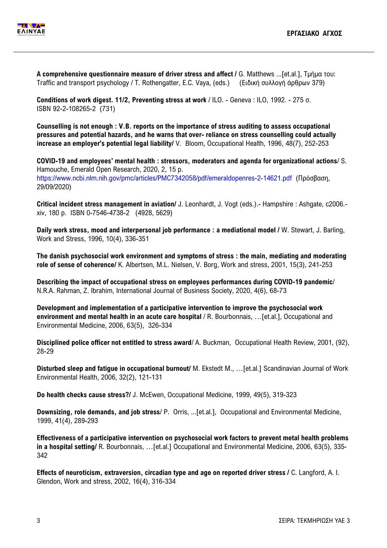

**A comprehensive questionnaire measure of driver stress and affect /** G. Matthews ...[et.al.], Τμήμα του: Traffic and transport psychology / T. Rothengatter, E.C. Vaya, (eds.) (Ειδική συλλογή άρθρων 379)

**Conditions of work digest. 11/2, Preventing stress at work** / ILO. - Geneva : ILO, 1992. - 275 σ. ISBN 92-2-108265-2 (731)

**Counselling is not enough : V.B. reports on the importance of stress auditing to assess occupational pressures and potential hazards, and he warns that over- reliance on stress counselling could actually increase an employer's potential legal liability/** V. Bloom, Occupational Health, 1996, 48(7), 252-253

**COVID-19 and employees' mental health : stressors, moderators and agenda for organizational actions**/ S. Hamouche, Emerald Open Research, 2020, 2, 15 p. <https://www.ncbi.nlm.nih.gov/pmc/articles/PMC7342058/pdf/emeraldopenres-2-14621.pdf>(Πρόσβαση, 29/09/2020)

**Critical incident stress management in aviation/** J. Leonhardt, J. Vogt (eds.).- Hampshire : Ashgate, c2006. xiv, 180 p. ISBN 0-7546-4738-2 (4928, 5629)

**Daily work stress, mood and interpersonal job performance : a mediational model /** W. Stewart, J. Barling, Work and Stress, 1996, 10(4), 336-351

**The danish psychosocial work environment and symptoms of stress : the main, mediating and moderating role of sense of coherence/** K. Albertsen, M.L. Nielsen, V. Borg, Work and stress, 2001, 15(3), 241-253

**Describing the impact of occupational stress on employees performances during COVID-19 pandemic**/ N.R.A. Rahman, Z. Ibrahim, International Journal of Business Society, 2020, 4(6), 68-73

**Development and implementation of a participative intervention to improve the psychosocial work environment and mental health in an acute care hospital** / R. Bourbonnais, …[et.al.], Occupational and Environmental Medicine, 2006, 63(5), 326-334

**Disciplined police officer not entitled to stress award**/ A. Buckman, Occupational Health Review, 2001, (92), 28-29

**Disturbed sleep and fatigue in occupational burnout/** M. Ekstedt M., …[et.al.] Scandinavian Journal of Work Environmental Health, 2006, 32(2), 121-131

**Do health checks cause stress?/** J. McEwen, Occupational Medicine, 1999, 49(5), 319-323

**Downsizing, role demands, and job stress**/ P. Orris, ...[et.al.], Occupational and Environmental Medicine, 1999, 41(4), 289-293

**Effectiveness of a participative intervention on psychosocial work factors to prevent metal health problems in a hospital setting/** R. Bourbonnais, …[et.al.] Occupational and Environmental Medicine, 2006, 63(5), 335- 342

**Effects of neuroticism, extraversion, circadian type and age on reported driver stress /** C. Langford, A. I. Glendon, Work and stress, 2002, 16(4), 316-334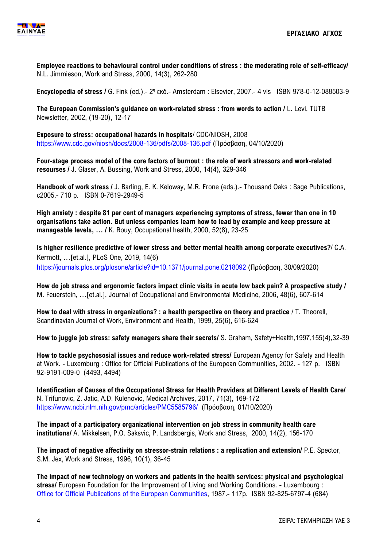

**Employee reactions to behavioural control under conditions of stress : the moderating role of self-efficacy/**  N.L. Jimmieson, Work and Stress, 2000, 14(3), 262-280

**Encyclopedia of stress /** G. Fink (ed.).- 2 η εκδ.- Amsterdam : Elsevier, 2007.- 4 vls ISBN 978-0-12-088503-9

**The European Commission's guidance on work-related stress : from words to action /** L. Levi, ΤUTB Newsletter, 2002, (19-20), 12-17

**Exposure to stress: occupational hazards in hospitals**/ CDC/NIOSH, 2008 <https://www.cdc.gov/niosh/docs/2008-136/pdfs/2008-136.pdf> (Πρόσβαση, 04/10/2020)

**Four-stage process model of the core factors of burnout : the role of work stressors and work-related resourses /** J. Glaser, A. Bussing, Work and Stress, 2000, 14(4), 329-346

**Handbook of work stress /** J. Barling, E. K. Keloway, M.R. Frone (eds.).- Thousand Oaks : Sage Publications, c2005.- 710 p. ISBN 0-7619-2949-5

**High anxiety : despite 81 per cent of managers experiencing symptoms of stress, fewer than one in 10 organisations take action. But unless companies learn how to lead by example and keep pressure at manageable levels, ... /** K. Rouy, Occupational health, 2000, 52(8), 23-25

**Is higher resilience predictive of lower stress and better mental health among corporate executives?**/ C.A. Kermott, …[et.al.], PLoS One, 2019, 14(6) <https://journals.plos.org/plosone/article?id=10.1371/journal.pone.0218092> (Πρόσβαση, 30/09/2020)

**How do job stress and ergonomic factors impact clinic visits in acute low back pain? A prospective study /**  M. Feuerstein, …[et.al.], Journal of Occupational and Environmental Medicine, 2006, 48(6), 607-614

**How to deal with stress in organizations? : a health perspective on theory and practice** / T. Theorell, Scandinavian Journal of Work, Environment and Health, 1999, 25(6), 616-624

**How to juggle job stress: safety managers share their secrets/** S. Graham, Safety+Health,1997,155(4),32-39

**How to tackle psychososial issues and reduce work-related stress/** European Agency for Safety and Health at Work. - Luxemburg : Office for Official Publications of the European Communities, 2002. - 127 p. ISBN 92-9191-009-0 (4493, 4494)

**Identification of Causes of the Occupational Stress for Health Providers at Different Levels of Health Care/**  [N. Trifunovic,](https://www.ncbi.nlm.nih.gov/pubmed/?term=Trifunovic%20N%5BAuthor%5D&cauthor=true&cauthor_uid=28974827) [Z. Jatic,](https://www.ncbi.nlm.nih.gov/pubmed/?term=Jatic%20Z%5BAuthor%5D&cauthor=true&cauthor_uid=28974827) [A.D. Kulenovic,](https://www.ncbi.nlm.nih.gov/pubmed/?term=Kulenovic%20AD%5BAuthor%5D&cauthor=true&cauthor_uid=28974827) Medical Archives, 2017, 71(3), 169-172 <https://www.ncbi.nlm.nih.gov/pmc/articles/PMC5585796/>(Πρόσβαση, 01/10/2020)

**The impact of a participatory organizational intervention on job stress in community health care institutions/** A. Mikkelsen, P.O. Saksvic, P. Landsbergis, Work and Stress, 2000, 14(2), 156-170

**The impact of negative affectivity on stressor-strain relations : a replication and extension/** P.E. Spector, S.M. Jex, Work and Stress, 1996, 10(1), 36-45

**The impact of new technology on workers and patients in the health services: physical and psychological stress/** European Foundation for the Improvement of Living and Working Conditions. - Luxembourg : [Office for Official Publications of the European Communities,](https://www.preventionweb.net/organizations/3412) 1987.- 117p. ISBN 92-825-6797-4 (684)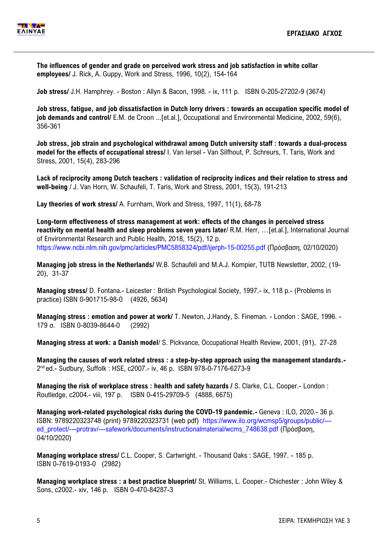

**The influences of gender and grade on perceived work stress and job satisfaction in white collar employees/** J. Rick, A. Guppy, Work and Stress, 1996, 10(2), 154-164

**Job stress/** J.H. Hamphrey. - Boston : Allyn & Bacon, 1998. - ix, 111 p. ISBN 0-205-27202-9 (3674)

**Job stress, fatigue, and job dissatisfaction in Dutch lorry drivers : towards an occupation specific model of job demands and control/** E.M. de Croon ...[et.al.], Occupational and Environmental Medicine, 2002, 59(6), 356-361

**Job stress, job strain and psychological withdrawal among Dutch university staff : towards a dual-process model for the effects of occupational stress/** I. Van Iersel - Van Silfhout, P. Schreurs, T. Taris, Work and Stress, 2001, 15(4), 283-296

**Lack of reciprocity among Dutch teachers : validation of reciprocity indices and their relation to stress and well-being** / J. Van Horn, W. Schaufeli, T. Taris, Work and Stress, 2001, 15(3), 191-213

**Lay theories of work stress/** A. Furnham, Work and Stress, 1997, 11(1), 68-78

**Long-term effectiveness of stress management at work: effects of the changes in perceived stress reactivity on mental health and sleep problems seven years later**/ R.M. Herr, …[et.al.], International Journal of Environmental Research and Public Health, 2018, 15(2), 12 p. <https://www.ncbi.nlm.nih.gov/pmc/articles/PMC5858324/pdf/ijerph-15-00255.pdf> (Πρόσβαση, 02/10/2020)

**Managing job stress in the Netherlands/** W.B. Schaufeli and M.A.J. Kompier, TUTB Newsletter, 2002, (19- 20), 31-37

**Managing stress/** D. Fontana.- Leicester : British Psychological Society, 1997.- ix, 118 p.- (Problems in practice) ISBN 0-901715-98-0 (4926, 5634)

**Managing stress : emotion and power at work/** T. Newton, J.Handy, S. Fineman. - London : SAGE, 1996. - 179 σ. ISBN 0-8039-8644-0 (2992)

**Managing stress at work: a Danish model**/ S. Pickvance, Occupational Health Review, 2001, (91), 27-28

**Managing the causes of work related stress : a step-by-step approach using the management standards.-** 2 nd ed.- Sudbury, Suffolk : HSE, c2007.- iv, 46 p. ISBN 978-0-7176-6273-9

**Managing the risk of workplace stress : health and safety hazards /** S. Clarke, C.L. Cooper.- London : Routledge, c2004.- viii, 197 p. ISBN 0-415-29709-5 (4888, 6675)

**Managing work-related psychological risks during the COVD-19 pandemic.-** Geneva : ILO, 2020.- 36 p. ISBN: 9789220323748 (print) 9789220323731 (web pdf) [https://www.ilo.org/wcmsp5/groups/public/--](https://www.ilo.org/wcmsp5/groups/public/---ed_protect/---protrav/---safework/documents/instructionalmaterial/wcms_748638.pdf) [ed\\_protect/---protrav/---safework/documents/instructionalmaterial/wcms\\_748638.pdf](https://www.ilo.org/wcmsp5/groups/public/---ed_protect/---protrav/---safework/documents/instructionalmaterial/wcms_748638.pdf) (Πρόσβαση, 04/10/2020)

**Managing workplace stress/** C.L. Cooper, S. Cartwright. - Thousand Oaks : SAGE, 1997. - 185 p. ISBN 0-7619-0193-0 (2982)

**Managing workplace stress : a best practice blueprint/** St. Williams, L. Cooper.- Chichester : John Wiley & Sons, c2002.- xiv, 146 p. ISBN 0-470-84287-3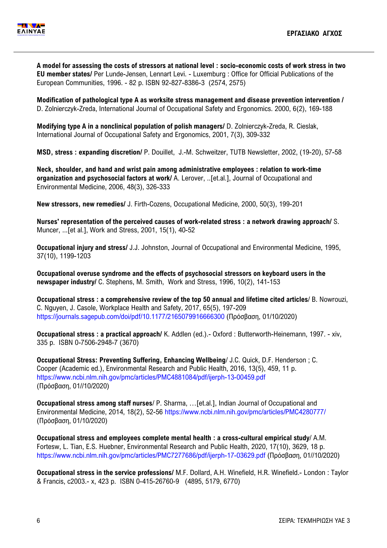

**A model for assessing the costs of stressors at national level : socio-economic costs of work stress in two EU member states/** Per Lunde-Jensen, Lennart Levi. - Luxemburg : Office for Official Publications of the European Communities, 1996. - 82 p. ISBN 92-827-8386-3 (2574, 2575)

**Modification of pathological type A as worksite stress management and disease prevention intervention /**  D. Zolnierczyk-Zreda, International Journal of Occupational Safety and Ergonomics. 2000, 6(2), 169-188

**Modifying type A in a nonclinical population of polish managers/** D. Zolnierczyk-Zreda, R. Cieslak, International Journal of Occupational Safety and Ergonomics, 2001, 7(3), 309-332

**MSD, stress : expanding discretion/** P. Douillet, J.-M. Schweitzer, TUTB Newsletter, 2002, (19-20), 57-58

**Neck, shoulder, and hand and wrist pain among administrative employees : relation to work-time organization and psychosocial factors at work/** A. Lerover, ..[et.al.], Journal of Occupational and Environmental Medicine, 2006, 48(3), 326-333

**New stressors, new remedies/** J. Firth-Cozens, Occupational Medicine, 2000, 50(3), 199-201

**Nurses' representation of the perceived causes of work-related stress : a network drawing approach/** S. Muncer, ...[et al.], Work and Stress, 2001, 15(1), 40-52

**Occupational injury and stress/** J.J. Johnston, Journal of Occupational and Environmental Medicine, 1995, 37(10), 1199-1203

**Occupational overuse syndrome and the effects of psychosocial stressors on keyboard users in the newspaper industry/** C. Stephens, M. Smith, Work and Stress, 1996, 10(2), 141-153

**Occupational stress : a comprehensive review of the top 50 annual and lifetime cited articles**/ B. Nowrouzi, C. Nguyen, J. Casole, Workplace Health and Safety, 2017, 65(5), 197-209 <https://journals.sagepub.com/doi/pdf/10.1177/2165079916666300> (Πρόσβαση, 01/10/2020)

**Occupational stress : a practical approach/** K. Addlen (ed.).- Oxford : Butterworth-Heinemann, 1997. - xiv, 335 p. ISBN 0-7506-2948-7 (3670)

**Occupational Stress: Preventing Suffering, Enhancing Wellbeing**/ [J.C. Quick,](https://www.ncbi.nlm.nih.gov/pubmed/?term=Quick%20JC%5BAuthor%5D&cauthor=true&cauthor_uid=27136575) [D.F. Henderson](https://www.ncbi.nlm.nih.gov/pubmed/?term=Henderson%20DF%5BAuthor%5D&cauthor=true&cauthor_uid=27136575) ; C. Cooper (Academic ed.), Environmental Research and Public Health, 2016, 13(5), 459, 11 p. <https://www.ncbi.nlm.nih.gov/pmc/articles/PMC4881084/pdf/ijerph-13-00459.pdf> (Πρόσβαση, 01//10/2020)

**Occupational stress among staff nurses**/ P. Sharma, …[et.al.], Indian Journal of Occupational and Environmental Medicine, 2014, 18(2), 52-56<https://www.ncbi.nlm.nih.gov/pmc/articles/PMC4280777/> (Πρόσβαση, 01/10/2020)

**Occupational stress and employees complete mental health : a cross-cultural empirical study**/ A.M. Fortesw, L. Tian, E.S. Huebner, Environmental Research and Public Health, 2020, 17(10), 3629, 18 p. <https://www.ncbi.nlm.nih.gov/pmc/articles/PMC7277686/pdf/ijerph-17-03629.pdf> (Πρόσβαση, 01//10/2020)

**Occupational stress in the service professions/** M.F. Dollard, A.H. Winefield, H.R. Winefield.- London : Taylor & Francis, c2003.- x, 423 p. ISBN 0-415-26760-9 (4895, 5179, 6770)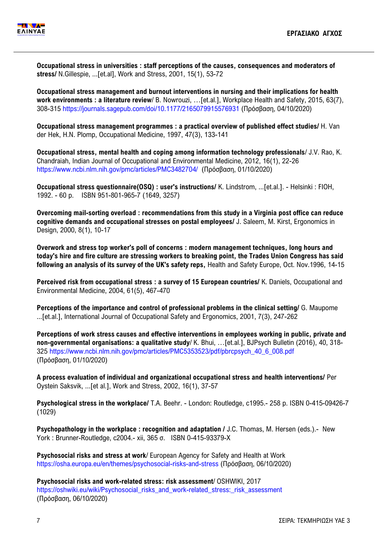

**Occupational stress in universities : staff perceptions of the causes, consequences and moderators of stress/** N.Gillespie, ...[et.al], Work and Stress, 2001, 15(1), 53-72

**Occupational stress management and burnout interventions in nursing and their implications for health work environments : a literature review**/ B. Nowrouzi, …[et.al.], Workplace Health and Safety, 2015, 63(7), 308-315<https://journals.sagepub.com/doi/10.1177/2165079915576931> (Πρόσβαση, 04/10/2020)

**Occupational stress management programmes : a practical overview of published effect studies/** H. Van der Hek, H.N. Plomp, Occupational Medicine, 1997, 47(3), 133-141

**Occupational stress, mental health and coping among information technology professionals**/ J.V. Rao, K. Chandraiah, Indian Journal of Occupational and Environmental Medicine, 2012, 16(1), 22-26 <https://www.ncbi.nlm.nih.gov/pmc/articles/PMC3482704/>(Πρόσβαση, 01/10/2020)

**Occupational stress questionnaire(OSQ) : user's instructions/** K. Lindstrom, ...[et.al.]. - Helsinki : FIOH, 1992. - 60 p. ISBN 951-801-965-7 (1649, 3257)

**Overcoming mail-sorting overload : recommendations from this study in a Virginia post office can reduce cognitive demands and occupational stresses on postal employees/** J. Saleem, M. Kirst, Ergonomics in Design, 2000, 8(1), 10-17

**Overwork and stress top worker's poll of concerns : modern management techniques, long hours and today's hire and fire culture are stressing workers to breaking point, the Trades Union Congress has said following an analysis of its survey of the UK's safety reps,** Health and Safety Europe, Oct. Nov.1996, 14-15

**Perceived risk from occupational stress : a survey of 15 European countries/** K. Daniels, Occupational and Environmental Medicine, 2004, 61(5), 467-470

**Perceptions of the importance and control of professional problems in the clinical setting/** G. Maupome ...[et.al.], International Journal of Occupational Safety and Ergonomics, 2001, 7(3), 247-262

**Perceptions of work stress causes and effective interventions in employees working in public, private and non-governmental organisations: a qualitative study**/ K. Bhui, …[et.al.], BJPsych Bulletin (2016), 40, 318- 325 [https://www.ncbi.nlm.nih.gov/pmc/articles/PMC5353523/pdf/pbrcpsych\\_40\\_6\\_008.pdf](https://www.ncbi.nlm.nih.gov/pmc/articles/PMC5353523/pdf/pbrcpsych_40_6_008.pdf) (Πρόσβαση, 01/10/2020)

**A process evaluation of individual and organizational occupational stress and health interventions/** Per Oystein Saksvik, ...[et al.], Work and Stress, 2002, 16(1), 37-57

**Psychological stress in the workplace/** T.A. Beehr. - London: Routledge, c1995.- 258 p. ISBN 0-415-09426-7 (1029)

**Psychopathology in the workplace : recognition and adaptation /** J.C. Thomas, M. Hersen (eds.).- New York : Brunner-Routledge, c2004.- xii, 365 σ. ISBN 0-415-93379-X

**Psychosocial risks and stress at work**/ European Agency for Safety and Health at Work <https://osha.europa.eu/en/themes/psychosocial-risks-and-stress> (Πρόσβαση, 06/10/2020)

**Psychosocial risks and work-related stress: risk assessment**/ OSHWIKI, 2017 [https://oshwiki.eu/wiki/Psychosocial\\_risks\\_and\\_work-related\\_stress:\\_risk\\_assessment](https://oshwiki.eu/wiki/Psychosocial_risks_and_work-related_stress:_risk_assessment) (Πρόσβαση, 06/10/2020)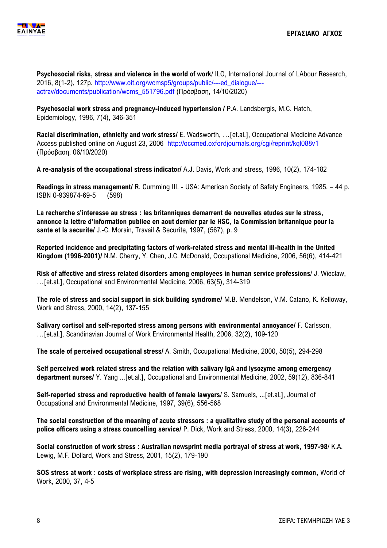

**Psychosocial risks, stress and violence in the world of work**/ ILO, International Journal of LAbour Research, 2016, 8(1-2), 127p. [http://www.oit.org/wcmsp5/groups/public/---ed\\_dialogue/--](http://www.oit.org/wcmsp5/groups/public/---ed_dialogue/---actrav/documents/publication/wcms_551796.pdf) [actrav/documents/publication/wcms\\_551796.pdf](http://www.oit.org/wcmsp5/groups/public/---ed_dialogue/---actrav/documents/publication/wcms_551796.pdf) (Πρόσβαση, 14/10/2020)

**Psychosocial work stress and pregnancy-induced hypertension / P.A. Landsbergis, M.C. Hatch,** Epidemiology, 1996, 7(4), 346-351

**Racial discrimination, ethnicity and work stress/** E. Wadsworth, …[et.al.], Occupational Medicine Advance Access published online on August 23, 2006 <http://occmed.oxfordjournals.org/cgi/reprint/kql088v1> (Πρόσβαση, 06/10/2020)

**A re-analysis of the occupational stress indicator/** A.J. Davis, Work and stress, 1996, 10(2), 174-182

**Readings in stress management/** R. Cumming III. - USA: American Society of Safety Engineers, 1985. – 44 p. ISBN 0-939874-69-5 (598)

**La recherche s'interesse au stress : les britanniques demarrent de nouvelles etudes sur le stress, annonce la lettre d'information publiee en aout dernier par le HSC, la Commission britannique pour la sante et la securite/** J.-C. Morain, Travail & Securite, 1997, (567), p. 9

**Reported incidence and precipitating factors of work-related stress and mental ill-health in the United Kingdom (1996-2001)/** N.M. Cherry, Y. Chen, J.C. McDonald, Occupational Medicine, 2006, 56(6), 414-421

**Risk of affective and stress related disorders among employees in human service professions**/ J. Wieclaw, …[et.al.], Occupational and Environmental Medicine, 2006, 63(5), 314-319

**The role of stress and social support in sick building syndrome/** M.B. Mendelson, V.M. Catano, K. Kelloway, Work and Stress, 2000, 14(2), 137-155

**Salivary cortisol and self-reported stress among persons with environmental annoyance/** F. Carlsson, …[et.al.], Scandinavian Journal of Work Environmental Health, 2006, 32(2), 109-120

**The scale of perceived occupational stress/** A. Smith, Occupational Medicine, 2000, 50(5), 294-298

**Self perceived work related stress and the relation with salivary IgA and lysozyme among emergency department nurses/** Y. Yang ...[et.al.], Occupational and Environmental Medicine, 2002, 59(12), 836-841

**Self-reported stress and reproductive health of female lawyers**/ S. Samuels, ...[et.al.], Journal of Occupational and Environmental Medicine, 1997, 39(6), 556-568

**The social construction of the meaning of acute stressors : a qualitative study of the personal accounts of police officers using a stress councelling service/** P. Dick, Work and Stress, 2000, 14(3), 226-244

**Social construction of work stress : Australian newsprint media portrayal of stress at work, 1997-98**/ K.A. Lewig, M.F. Dollard, Work and Stress, 2001, 15(2), 179-190

**SOS stress at work : costs of workplace stress are rising, with depression increasingly common,** World of Work, 2000, 37, 4-5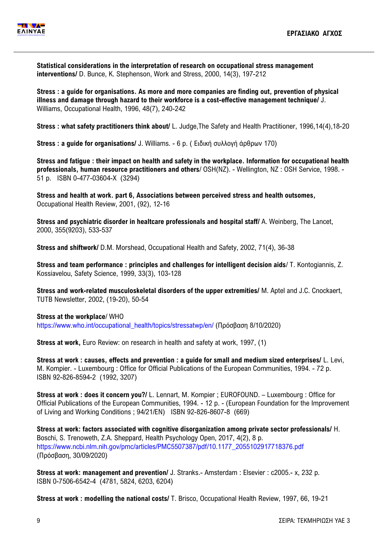

**Statistical considerations in the interpretation of research on occupational stress management interventions/** D. Bunce, K. Stephenson, Work and Stress, 2000, 14(3), 197-212

**Stress : a guide for organisations. As more and more companies are finding out, prevention of physical illness and damage through hazard to their workforce is a cost-effective management technique/** J. Williams, Occupational Health, 1996, 48(7), 240-242

**Stress : what safety practitioners think about/** L. Judge,The Safety and Health Practitioner, 1996,14(4),18-20

**Stress : a guide for organisations/** J. Williams. - 6 p. ( Ειδική συλλογή άρθρων 170)

**Stress and fatigue : their impact on health and safety in the workplace. Information for occupational health professionals, human resource practitioners and others**/ OSH(NZ). - Wellington, NZ : OSH Service, 1998. - 51 p. ISBN 0-477-03604-X (3294)

**Stress and health at work. part 6, Associations between perceived stress and health outsomes,**  Occupational Health Review, 2001, (92), 12-16

**Stress and psychiatric disorder in healtcare professionals and hospital staff/** A. Weinberg, The Lancet, 2000, 355(9203), 533-537

**Stress and shiftwork/** D.M. Morshead, Occupational Health and Safety, 2002, 71(4), 36-38

**Stress and team performance : principles and challenges for intelligent decision aids**/ T. Kontogiannis, [Z.](https://www.sciencedirect.com/science/article/pii/S0925753599000272#!)  [Kossiavelou,](https://www.sciencedirect.com/science/article/pii/S0925753599000272#!) Safety Science, 1999, 33(3), 103-128

**Stress and work-related musculoskeletal disorders of the upper extremities/** M. Aptel and J.C. Cnockaert, TUTB Newsletter, 2002, (19-20), 50-54

**Stress at the workplace**/ WHO [https://www.who.int/occupational\\_health/topics/stressatwp/en/](https://www.who.int/occupational_health/topics/stressatwp/en/) (Πρόσβαση 8/10/2020)

**Stress at work,** Euro Review: on research in health and safety at work, 1997, (1)

**Stress at work : causes, effects and prevention : a guide for small and medium sized enterprises/** L. Levi, M. Kompier. - Luxembourg : Office for Official Publications of the European Communities, 1994. - 72 p. ISBN 92-826-8594-2 (1992, 3207)

**Stress at work : does it concern you?/** L. Lennart, M. Kompier ; EUROFOUND. – Luxembourg : Office for Official Publications of the European Communities, 1994. - 12 p. - (European Foundation for the Improvement of Living and Working Conditions ; 94/21/EN) ISBN 92-826-8607-8 (669)

**Stress at work: factors associated with cognitive disorganization among private sector professionals/** H. Boschi, S. Trenoweth, Z.A. Sheppard, Health Psychology Open, 2017, 4(2), 8 p. [https://www.ncbi.nlm.nih.gov/pmc/articles/PMC5507387/pdf/10.1177\\_2055102917718376.pdf](https://www.ncbi.nlm.nih.gov/pmc/articles/PMC5507387/pdf/10.1177_2055102917718376.pdf) (Πρόσβαση, 30/09/2020)

**Stress at work: management and prevention/** J. Stranks.- Amsterdam : Elsevier : c2005.- x, 232 p. ISBN 0-7506-6542-4 (4781, 5824, 6203, 6204)

**Stress at work : modelling the national costs/** T. Brisco, Occupational Health Review, 1997, 66, 19-21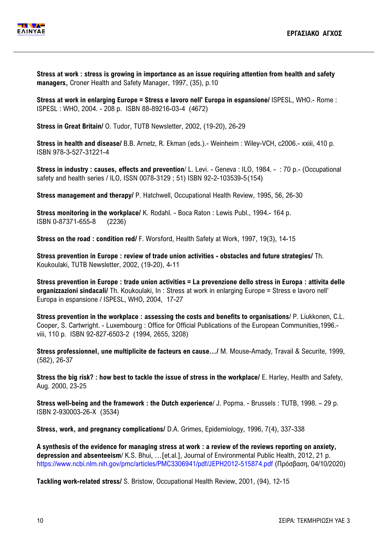

**Stress at work : stress is growing in importance as an issue requiring attention from health and safety managers,** Croner Health and Safety Manager, 1997, (35), p.10

**Stress at work in enlarging Europe = Stress e lavoro nell' Europa in espansione/** ISPESL, WHO.- Rome : ISPESL : WHO, 2004. - 208 p. ISBN 88-89216-03-4 (4672)

**Stress in Great Britain/** O. Tudor, TUTB Newsletter, 2002, (19-20), 26-29

**Stress in health and disease/** B.B. Arnetz, R. Ekman (eds.).- Weinheim : Wiley-VCH, c2006.- xxiii, 410 p. ISBN 978-3-527-31221-4

**Stress in industry : causes, effects and prevention**/ L. Levi. - Geneva : ILO, 1984. - : 70 p.- (Occupational safety and health series / ILO, ISSN 0078-3129 ; 51) ISBN 92-2-103539-5(154)

**Stress management and therapy/** P. Hatchwell, Occupational Health Review, 1995, 56, 26-30

**Stress monitoring in the workplace/** K. Rodahl. - Boca Raton : Lewis Publ., 1994.- 164 p. ISBN 0-87371-655-8 (2236)

**Stress on the road : condition red/** F. Worsford, Health Safety at Work, 1997, 19(3), 14-15

**Stress prevention in Europe : review of trade union activities - obstacles and future strategies/** Th. Koukoulaki, TUTB Newsletter, 2002, (19-20), 4-11

**Stress prevention in Europe : trade union activities = La prevenzione dello stress in Europa : attivita delle organizzazioni sindacali/** Th. Koukoulaki, In : Stress at work in enlarging Europe = Stress e lavoro nell' Europa in espansione / ISPESL, WHO, 2004, 17-27

**Stress prevention in the workplace : assessing the costs and benefits to organisations**/ P. Liukkonen, C.L. Cooper, S. Cartwright. - Luxembourg : [Office for Official Publications of the European Communities,](https://www.preventionweb.net/organizations/3412)1996. viii, 110 p. ISBN 92-827-6503-2 (1994, 2655, 3208)

**Stress professionnel, une multiplicite de facteurs en cause.../** M. Mouse-Amady, Travail & Securite, 1999, (582), 26-37

**Stress the big risk? : how best to tackle the issue of stress in the workplace/** E. Harley, Ηealth and Safety, Aug. 2000, 23-25

**Stress well-being and the framework : the Dutch experience**/ J. Popma. - Brussels : TUTB, 1998. – 29 p. ISBN 2-930003-26-X (3534)

**Stress, work, and pregnancy complications/** D.A. Grimes, Epidemiology, 1996, 7(4), 337-338

**A synthesis of the evidence for managing stress at work : a review of the reviews reporting on anxiety, depression and absenteeism**/ K.S. Bhui, …[et.al.], Journal of Environmental Public Health, 2012, 21 p. <https://www.ncbi.nlm.nih.gov/pmc/articles/PMC3306941/pdf/JEPH2012-515874.pdf> (Πρόσβαση, 04/10/2020)

**Tackling work-related stress/** S. Bristow, Occupational Health Review, 2001, (94), 12-15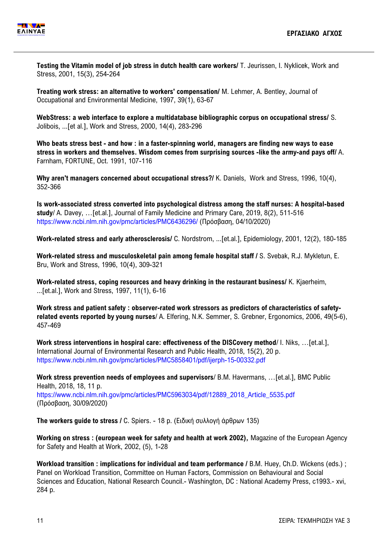

**Testing the Vitamin model of job stress in dutch health care workers/** T. Jeurissen, I. Nyklicek, Work and Stress, 2001, 15(3), 254-264

**Treating work stress: an alternative to workers' compensation/** M. Lehmer, A. Bentley, Journal of Occupational and Environmental Medicine, 1997, 39(1), 63-67

**WebStress: a web interface to explore a multidatabase bibliographic corpus on occupational stress/** S. Jolibois, ...[et al.], Work and Stress, 2000, 14(4), 283-296

**Who beats stress best - and how : in a faster-spinning world, managers are finding new ways to ease stress in workers and themselves. Wisdom comes from surprising sources -like the army-and pays off/** A. Farnham, FORTUNE, Oct. 1991, 107-116

**Why aren't managers concerned about occupational stress?/** K. Daniels, Work and Stress, 1996, 10(4), 352-366

**Is work-associated stress converted into psychological distress among the staff nurses: A hospital-based study**/ A. Davey, …[et.al.], Journal of Family Medicine and Primary Care, 2019, 8(2), 511-516 <https://www.ncbi.nlm.nih.gov/pmc/articles/PMC6436296/> (Πρόσβαση, 04/10/2020)

**Work-related stress and early atherosclerosis/** C. Nordstrom, ...[et.al.], Epidemiology, 2001, 12(2), 180-185

**Work-related stress and musculoskeletal pain among female hospital staff /** S. Svebak, R.J. Mykletun, E. Bru, Work and Stress, 1996, 10(4), 309-321

**Work-related stress, coping resources and heavy drinking in the restaurant business/** K. Kjaerheim, ...[et.al.], Work and Stress, 1997, 11(1), 6-16

**Work stress and patient safety : observer-rated work stressors as predictors of characteristics of safetyrelated events reported by young nurses**/ A. Elfering, N.K. Semmer, S. Grebner, Ergonomics, 2006, 49(5-6), 457-469

**Work stress interventions in hospiral care: effectiveness of the DISCovery method**/ I. Niks, …[et.al.], International Journal of Environmental Research and Public Health, 2018, 15(2), 20 p. <https://www.ncbi.nlm.nih.gov/pmc/articles/PMC5858401/pdf/ijerph-15-00332.pdf>

**Work stress prevention needs of employees and supervisors**/ B.M. Havermans, …[et.al.], BMC Public Health, 2018, 18, 11 p. [https://www.ncbi.nlm.nih.gov/pmc/articles/PMC5963034/pdf/12889\\_2018\\_Article\\_5535.pdf](https://www.ncbi.nlm.nih.gov/pmc/articles/PMC5963034/pdf/12889_2018_Article_5535.pdf) (Πρόσβαση, 30/09/2020)

**The workers guide to stress /** C. Spiers. - 18 p. (Ειδική συλλογή άρθρων 135)

**Working on stress : (european week for safety and health at work 2002),** Magazine of the European Agency for Safety and Health at Work, 2002, (5), 1-28

**Workload transition : implications for individual and team performance /** B.M. Huey, Ch.D. Wickens (eds.) ; Panel on Workload Transition, Committee on Human Factors, Commission on Behavioural and Social Sciences and Education, National Research Council.- Washington, DC : National Academy Press, c1993.- xvi, 284 p.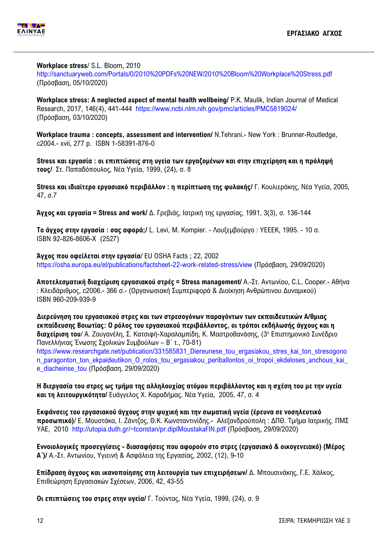

**Workplace stress**/ S.L. Bloom, 2010

<http://sanctuaryweb.com/Portals/0/2010%20PDFs%20NEW/2010%20Bloom%20Workplace%20Stress.pdf> (Πρόσβαση, 05/10/2020)

**Workplace stress: A neglected aspect of mental health wellbeing/** P.K. Maulik, Indian Journal of Medical Research, 2017, 146(4), 441-444 <https://www.ncbi.nlm.nih.gov/pmc/articles/PMC5819024/> (Πρόσβαση, 03/10/2020)

**Workplace trauma : concepts, assessment and intervention/** N.Tehrani.- New York : Brunner-Routledge, c2004.- xvii, 277 p. ISBN 1-58391-876-0

**Stress και εργασία : οι επιπτώσεις στη υγεία των εργαζομένων και στην επιχείρηση και η πρόληψή τους/** Στ. Παπαδόπουλος, Νέα Υγεία, 1999, (24), σ. 8

**Stress και ιδιαίτερο εργασιακό περιβάλλον : η περίπτωση της φυλακής/** Γ. Κουλιεράκης, Νέα Υγεία, 2005, 47, σ.7

**Άγχος και εργασία = Stress and work/** Δ. Γρεβιάς, Ιατρική της εργασίας, 1991, 3(3), σ. 136-144

**Το άγχος στην εργασία : σας αφορά;/** L. Levi, M. Kompier. - Λουξεμβούργο : YEEEK, 1995. - 10 σ. ISBN 92-826-8606-Χ (2527)

**Άγχος που οφείλεται στην εργασία**/ EU OSHA Facts ; 22, 2002 <https://osha.europa.eu/el/publications/factsheet-22-work-related-stress/view> (Πρόσβαση, 29/09/2020)

**Αποτελεσματική διαχείριση εργασιακού στρές = Stress management/** Α.-Στ. Αντωνίου, C.L. Cooper.- Αθήνα : Κλειδάριθμος, c2006.- 366 σ.- (Οργανωσιακή Συμπεριφορά & Διοίκηση Ανθρώπινου Δυναμικού) ISBN 960-209-939-9

**Διερεύνηση του εργασιακού στρες και των στρεσογόνων παραγόντων των εκπαιδευτικών Α/θμιας εκπαίδευσης Βοιωτίας: Ο ρόλος του εργασιακού περιβάλλοντος, οι τρόποι εκδήλωσής άγχους και η διαχείριση του**/ Α. Ζουγανέλη, Σ. Κατσιφή-Χαραλαμπίδη, Κ. Μαστροθανάσης, (3<sup>ο</sup> Επιστημονικό Συνέδριο Πανελλήνιας Ένωσης Σχολικών Συμβούλων – Β΄ τ., 70-81) [https://www.researchgate.net/publication/331585831\\_Diereunese\\_tou\\_ergasiakou\\_stres\\_kai\\_ton\\_stresogono](https://www.researchgate.net/publication/331585831_Diereunese_tou_ergasiakou_stres_kai_ton_stresogonon_paragonton_ton_ekpaideutikon_O_rolos_tou_ergasiakou_periballontos_oi_tropoi_ekdeloses_anchous_kai_e_diacheirise_tou) n paragonton ton ekpaideutikon O rolos tou ergasiakou periballontos oi tropoi ekdeloses anchous kai e diacheirise tou (Πρόσβαση, 29/09/2020)

**Η διεργασία του στρες ως τμήμα της αλληλουχίας ατόμου περιβάλλοντος και η σχέση του με την υγεία και τη λειτουργικότητα/** Ευάγγελος Χ. Καραδήμας, Νέα Υγεία, 2005, 47, σ. 4

**Εκφάνσεις του εργασιακού άγχους στην ψυχική και την σωματική υγεία (έρευνα σε νοσηλευτικό προσωπικό)**/ Ε. Μουστάκα, Ι. Ζάντζος, Θ.Κ. Κωνσταντινίδης.- Αλεξανδρούπολη : ΔΠΘ. Τμήμα Ιατρικής. ΠΜΣ ΥΑΕ, 2010 <http://utopia.duth.gr/~tconstan/pr.diplMoustakaFIN.pdf> (Πρόσβαση, 29/09/2020)

**Εννοιολογικές προσεγγίσεις - διασαφήσεις που αφορούν στο στρες (εργασιακό & οικογενειακό) (Μέρος Α΄)/** Α.-Στ. Αντωνίου, Υγιεινή & Ασφάλεια της Εργασίας, 2002, (12), 9-10

**Επίδραση άγχους και ικανοποίησης στη λειτουργία των επιχειρήσεων/** Δ. Μπουσινάκης, Γ.Ε. Χάλκος, Επιθεώρηση Εργασιακών Σχέσεων, 2006, 42, 43-55

**Οι επιπτώσεις του στρες στην υγεία/** Γ. Τούντας, Νέα Υγεία, 1999, (24), σ. 9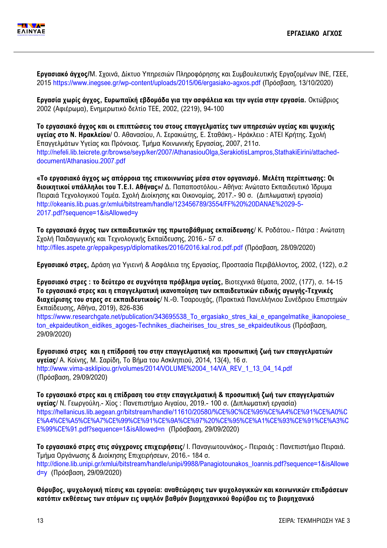

**Εργασιακό άγχος/**Μ. Σχοινά, Δίκτυο Υπηρεσιών Πληροφόρησης και Συμβουλευτικής Εργαζομένων ΙΝΕ, ΓΣΕΕ, 2015<https://www.inegsee.gr/wp-content/uploads/2015/06/ergasiako-agxos.pdf> (Πρόσβαση, 13/10/2020)

**Εργασία χωρίς άγχος, Ευρωπαϊκή εβδομάδα για την ασφάλεια και την υγεία στην εργασία.** Οκτώβριος 2002 (Αφιέρωμα), Ενημερωτικό δελτίο ΤΕΕ, 2002, (2219), 94-100

**Το εργασιακό άγχος και οι επιπτώσεις του στους επαγγελματίες των υπηρεσιών υγείας και ψυχικής υγείας στο Ν. Ηρακλείου**/ Ο. Αθανασίου, Λ. Σερακιώτης, Ε. Σταθάκη.- Ηράκλειο : ATEI Κρήτης. Σχολή Επαγγελμάτων Υγείας και Πρόνοιας. Τμήμα Κοινωνικής Εργασίας, 2007, 211σ. [http://nefeli.lib.teicrete.gr/browse/seyp/ker/2007/AthanasiouOlga,SerakiotisLampros,StathakiEirini/attached](http://nefeli.lib.teicrete.gr/browse/seyp/ker/2007/AthanasiouOlga,SerakiotisLampros,StathakiEirini/attached-document/Athanasiou.2007.pdf)[document/Athanasiou.2007.pdf](http://nefeli.lib.teicrete.gr/browse/seyp/ker/2007/AthanasiouOlga,SerakiotisLampros,StathakiEirini/attached-document/Athanasiou.2007.pdf)

**«Το εργασιακό άγχος ως απόρροια της επικοινωνίας μέσα στον οργανισμό. Μελέτη περίπτωσης: Οι διοικητικοί υπάλληλοι του Τ.Ε.Ι. Αθήνας»/** Δ. Παπαποστόλου.- Αθήνα: Ανώτατο Εκπαιδευτικό Ίδρυμα Πειραιά Τεχνολογικού Τομέα. Σχολή Διοίκησης και Οικονομίας, 2017.- 90 σ. (Διπλωματική εργασία) [http://okeanis.lib.puas.gr/xmlui/bitstream/handle/123456789/3554/FF%20%20DANAE%2029-5-](http://okeanis.lib.puas.gr/xmlui/bitstream/handle/123456789/3554/FF%20%20DANAE%2029-5-2017.pdf?sequence=1&isAllowed=y) [2017.pdf?sequence=1&isAllowed=y](http://okeanis.lib.puas.gr/xmlui/bitstream/handle/123456789/3554/FF%20%20DANAE%2029-5-2017.pdf?sequence=1&isAllowed=y)

**Το εργασιακό άγχος των εκπαιδευτικών της πρωτοβάθμιας εκπαίδευσης**/ Κ. Ροδάτου.- Πάτρα : Ανώτατη Σχολή Παιδαγωγικής και Τεχνολογικής Εκπαίδευσης, 2016.- 57 σ. <http://files.aspete.gr/eppaikpesyp/diplomatikes/2016/2016.kal.rod.pdf.pdf> (Πρόσβαση, 28/09/2020)

**Εργασιακό στρες,** Δράση για Υγιεινή & Ασφάλεια της Εργασίας, Προστασία Περιβάλλοντος, 2002, (122), σ.2

**Εργασιακό στρες : το δεύτερο σε συχνότητα πρόβλημα υγείας,** Βιοτεχνικά θέματα, 2002, (177), σ. 14-15 **Το εργασιακό στρες και η επαγγελματική ικανοποίηση των εκπαιδευτικών ειδικής αγωγής-Τεχνικές διαχείρισης του στρες σε εκπαιδευτικούς**/ Ν.-Θ. Τσαρουχάς, (Πρακτικά Πανελλήνιου Συνέδριου Επιστημών Εκπαίδευσης, Αθήνα, 2019), 826-836

[https://www.researchgate.net/publication/343695538\\_To\\_ergasiako\\_stres\\_kai\\_e\\_epangelmatike\\_ikanopoiese\\_](https://www.researchgate.net/publication/343695538_To_ergasiako_stres_kai_e_epangelmatike_ikanopoiese_ton_ekpaideutikon_eidikes_agoges-Technikes_diacheirises_tou_stres_se_ekpaideutikous) ton ekpaideutikon eidikes agoges-Technikes diacheirises tou stres se ekpaideutikous (Πρόσβαση, 29/09/2020)

**Εργασιακό στρες και η επίδρασή του στην επαγγελματική και προσωπική ζωή των επαγγελματιών υγείας**/ Α. Κοίνης, Μ. Σαρίδη, Το Βήμα του Ασκληπιού, 2014, 13(4), 16 σ. [http://www.vima-asklipiou.gr/volumes/2014/VOLUME%2004\\_14/VA\\_REV\\_1\\_13\\_04\\_14.pdf](http://www.vima-asklipiou.gr/volumes/2014/VOLUME%2004_14/VA_REV_1_13_04_14.pdf) (Πρόσβαση, 29/09/2020)

**Το εργασιακό στρες και η επίδραση του στην επαγγελματική & προσωπική ζωή των επαγγελματιών υγείας**/ Ν. Γεωργούλη.- Χίος : Πανεπιστήμιο Αιγαίου, 2019.- 100 σ. (Διπλωματική εργασία) [https://hellanicus.lib.aegean.gr/bitstream/handle/11610/20580/%CE%9C%CE%95%CE%A4%CE%91%CE%A0%C](https://hellanicus.lib.aegean.gr/bitstream/handle/11610/20580/%CE%9C%CE%95%CE%A4%CE%91%CE%A0%CE%A4%CE%A5%CE%A7%CE%99%CE%91%CE%9A%CE%97%20%CE%95%CE%A1%CE%93%CE%91%CE%A3%CE%99%CE%91.pdf?sequence=1&isAllowed=n) [E%A4%CE%A5%CE%A7%CE%99%CE%91%CE%9A%CE%97%20%CE%95%CE%A1%CE%93%CE%91%CE%A3%C](https://hellanicus.lib.aegean.gr/bitstream/handle/11610/20580/%CE%9C%CE%95%CE%A4%CE%91%CE%A0%CE%A4%CE%A5%CE%A7%CE%99%CE%91%CE%9A%CE%97%20%CE%95%CE%A1%CE%93%CE%91%CE%A3%CE%99%CE%91.pdf?sequence=1&isAllowed=n) [E%99%CE%91.pdf?sequence=1&isAllowed=n](https://hellanicus.lib.aegean.gr/bitstream/handle/11610/20580/%CE%9C%CE%95%CE%A4%CE%91%CE%A0%CE%A4%CE%A5%CE%A7%CE%99%CE%91%CE%9A%CE%97%20%CE%95%CE%A1%CE%93%CE%91%CE%A3%CE%99%CE%91.pdf?sequence=1&isAllowed=n) (Πρόσβαση, 29/09/2020)

**Το εργασιακό στρες στις σύγχρονες επιχειρήσεις**/ Ι. Παναγιωτουνάκος.- Πειραιάς : Πανεπιστήμιο Πειραιά. Τμήμα Οργάνωσης & Διοίκησης Επιχειρήσεων, 2016.- 184 σ. [http://dione.lib.unipi.gr/xmlui/bitstream/handle/unipi/9988/Panagiotounakos\\_Ioannis.pdf?sequence=1&isAllowe](http://dione.lib.unipi.gr/xmlui/bitstream/handle/unipi/9988/Panagiotounakos_Ioannis.pdf?sequence=1&isAllowed=y) [d=y](http://dione.lib.unipi.gr/xmlui/bitstream/handle/unipi/9988/Panagiotounakos_Ioannis.pdf?sequence=1&isAllowed=y) (Πρόσβαση, 29/09/2020)

**Θόρυβος, ψυχολογική πίεσις και εργασία: αναθεώρησις των ψυχολογικκών και κοινωνικών επιδράσεων κατόπιν εκθέσεως των ατόμων εις υψηλόν βαθμόν βιομηχανικού θορύβου εις το βιομηχανικό**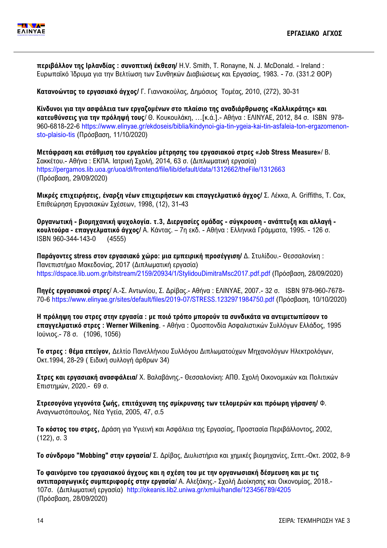

**περιβάλλον της Ιρλανδίας : συνοπτική έκθεση/** H.V. Smith, T. Ronayne, N. J. McDonald. - Ireland : Ευρωπαϊκό Ίδρυμα για την Βελτίωση των Συνθηκών Διαβιώσεως και Εργασίας, 1983. - 7σ. (331.2 ΘΟΡ)

**Κατανοώντας το εργασιακό άγχος/** Γ. Γιαννακούλας, Δημόσιος Τομέας, 2010, (272), 30-31

**Κίνδυνοι για την ασφάλεια των εργαζομένων στο πλαίσιο της αναδιάρθρωσης «Καλλικράτης» και κατευθύνσεις για την πρόληψή τους**/ Θ. Κουκουλάκη, …[κ.ά.].- Αθήνα : ΕΛΙΝΥΑΕ, 2012, 84 σ. ISBN 978- 960-6818-22-6 [https://www.elinyae.gr/ekdoseis/biblia/kindynoi-gia-tin-ygeia-kai-tin-asfaleia-ton-ergazomenon](https://www.elinyae.gr/ekdoseis/biblia/kindynoi-gia-tin-ygeia-kai-tin-asfaleia-ton-ergazomenon-sto-plaisio-tis)[sto-plaisio-tis](https://www.elinyae.gr/ekdoseis/biblia/kindynoi-gia-tin-ygeia-kai-tin-asfaleia-ton-ergazomenon-sto-plaisio-tis) (Πρόσβαση, 11/10/2020)

**Μετάφραση και στάθμιση του εργαλείου μέτρησης του εργασιακού στρες «Job Stress Measure»**/ Β. Σακκέτου.- Αθήνα : ΕΚΠΑ. Ιατρική Σχολή, 2014, 63 σ. (Διπλωματική εργασία) <https://pergamos.lib.uoa.gr/uoa/dl/frontend/file/lib/default/data/1312662/theFile/1312663> (Πρόσβαση, 29/09/2020)

**Μικρές επιχειρήσεις, έναρξη νέων επιχειρήσεων και επαγγελματικό άγχος/** Σ. Λέκκα, A. Griffiths, T. Cox, Επιθεώρηση Εργασιακών Σχέσεων, 1998, (12), 31-43

**Οργανωτική - βιομηχανική ψυχολογία. τ.3, Διεργασίες ομάδας - σύγκρουση - ανάπτυξη και αλλαγή κουλτούρα - επαγγελματικό άγχος/** Α. Κάντας. – 7η εκδ. - Αθήνα : Ελληνικά Γράμματα, 1995. - 126 σ. ISBN 960-344-143-0 (4555)

**Παράγοντες stress στον εργασιακό χώρο: μια εμπειρική προσέγγιση/** Δ. Στυλίδου.- Θεσσαλονίκη : Πανεπιστήμιο Μακεδονίας, 2017 (Διπλωματική εργασία) <https://dspace.lib.uom.gr/bitstream/2159/20934/1/StylidouDimitraMsc2017.pdf.pdf> (Πρόσβαση, 28/09/2020)

**Πηγές εργασιακού στρες**/ Α.-Σ. Αντωνίου, Σ. Δρίβας.- Αθήνα : ΕΛΙΝΥΑΕ, 2007.- 32 σ. ISBN 978-960-7678- 70-6 <https://www.elinyae.gr/sites/default/files/2019-07/STRESS.1232971984750.pdf> (Πρόσβαση, 10/10/2020)

**Η πρόληψη του στρες στην εργασία : με ποιό τρόπο μπορούν τα συνδικάτα να αντιμετωπίσουν το επαγγελματικό στρες : Werner Wilkening**. - Αθήνα : Ομοσπονδία Ασφαλιστικών Συλλόγων Ελλάδος, 1995 Ιούνιος.- 78 σ. (1096, 1056)

**Το στρες : θέμα επείγον,** Δελτίο Πανελλήνιου Συλλόγου Διπλωματούχων Μηχανολόγων Ηλεκτρολόγων, Οκτ.1994, 28-29 ( Ειδική συλλογή άρθρων 34)

**Στρες και εργασιακή ανασφάλεια/** Χ. Βαλαβάνης.- Θεσσαλονίκη: ΑΠΘ. Σχολή Οικονομικών και Πολιτικών Επιστημών, 2020.- 69 σ.

**Στρεσογόνα γεγονότα ζωής, επιτάχυνση της σμίκρυνσης των τελομερών και πρόωρη γήρανση/** Φ. Αναγνωστόπουλος, Νέα Υγεία, 2005, 47, σ.5

**Το κόστος του στρες,** Δράση για Yγιεινή και Aσφάλεια της Eργασίας, Προστασία Περιβάλλοντος, 2002, (122), σ. 3

**Το σύνδρομο "Mobbing" στην εργασία/** Σ. Δρίβας, Διυλιστήρια και χημικές βιομηχανίες, Σεπτ.-Οκτ. 2002, 8-9

**Το φαινόµενο του εργασιακού άγχους και η σχέση του µε την οργανωσιακή δέσµευση και µε τις αντιπαραγωγικές συµπεριφορές στην εργασία**/ Α. Αλεξάκης.- Σχολή Διοίκησης και Οικονομίας, 2018.- 107σ. (Διπλωματική εργασία) <http://okeanis.lib2.uniwa.gr/xmlui/handle/123456789/4205> (Πρόσβαση, 28/09/2020)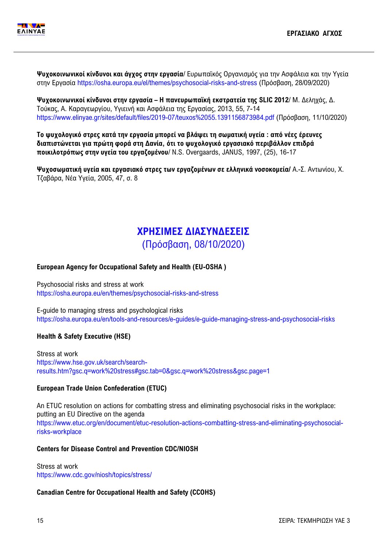

**Ψυχοκοινωνικοί κίνδυνοι και άγχος στην εργασία**/ Ευρωπαϊκός Οργανισμός για την Ασφάλεια και την Υγεία στην Εργασία <https://osha.europa.eu/el/themes/psychosocial-risks-and-stress> (Πρόσβαση, 28/09/2020)

**Ψυχοκοινωνικοί κίνδυνοι στην εργασία – Η πανευρωπαϊκή εκστρατεία της SLIC 2012**/ Μ. Δεληχάς, Δ. Τούκας, Α. Καραγεωργίου, Υγιεινή και Ασφάλεια της Eργασίας, 2013, 55, 7-14 <https://www.elinyae.gr/sites/default/files/2019-07/teuxos%2055.1391156873984.pdf> (Πρόσβαση, 11/10/2020)

**Το ψυχολογικό στρες κατά την εργασία μπορεί να βλάψει τη σωματική υγεία : από νέες έρευνες διαπιστώνεται για πρώτη φορά στη Δανία, ότι το ψυχολογικό εργασιακό περιβάλλον επιδρά ποικιλοτρόπως στην υγεία του εργαζομένου**/ N.S. Overgaards, JANUS, 1997, (25), 16-17

**Ψυχοσωματική υγεία και εργασιακό στρες των εργαζομένων σε ελληνικά νοσοκομεία/** Α.-Σ. Αντωνίου, Χ. Τζαβάρα, Νέα Υγεία, 2005, 47, σ. 8

# **ΧΡΗΣΙΜΕΣ ΔΙΑΣΥΝΔΕΣΕΙΣ** (Πρόσβαση, 08/10/2020)

## **European Agency for Occupational Safety and Health (EU-OSHA )**

Psychosocial risks and stress at work <https://osha.europa.eu/en/themes/psychosocial-risks-and-stress>

E-guide to managing stress and psychological risks <https://osha.europa.eu/en/tools-and-resources/e-guides/e-guide-managing-stress-and-psychosocial-risks>

#### **Health & Safety Executive (HSE)**

Stress at work [https://www.hse.gov.uk/search/search](https://www.hse.gov.uk/search/search-results.htm?gsc.q=work%20stress#gsc.tab=0&gsc.q=work%20stress&gsc.page=1)[results.htm?gsc.q=work%20stress#gsc.tab=0&gsc.q=work%20stress&gsc.page=1](https://www.hse.gov.uk/search/search-results.htm?gsc.q=work%20stress#gsc.tab=0&gsc.q=work%20stress&gsc.page=1)

#### **European Trade Union Confederation (ETUC)**

An ETUC resolution on actions for combatting stress and eliminating psychosocial risks in the workplace: putting an EU Directive on the agenda [https://www.etuc.org/en/document/etuc-resolution-actions-combatting-stress-and-eliminating-psychosocial](https://www.etuc.org/en/document/etuc-resolution-actions-combatting-stress-and-eliminating-psychosocial-risks-workplace)[risks-workplace](https://www.etuc.org/en/document/etuc-resolution-actions-combatting-stress-and-eliminating-psychosocial-risks-workplace)

#### **Centers for Disease Control and Prevention CDC/NIOSH**

Stress at work <https://www.cdc.gov/niosh/topics/stress/>

**Canadian Centre for Occupational Health and Safety (CCOHS)**